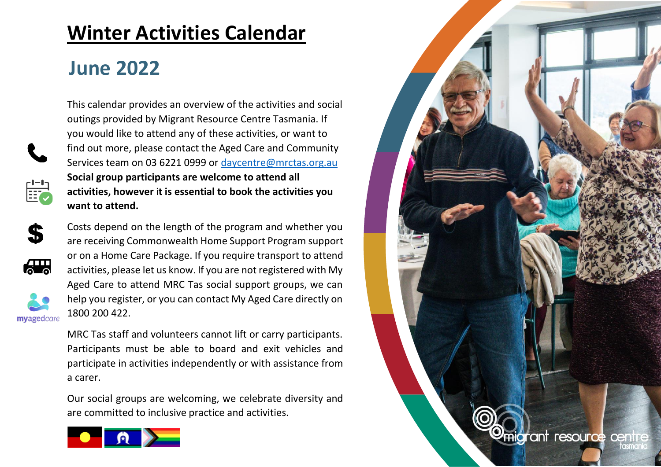## **Winter Activities Calendar**

## **June 2022**



This calendar provides an overview of the activities and social outings provided by Migrant Resource Centre Tasmania. If you would like to attend any of these activities, or want to find out more, please contact the Aged Care and Community Services team on 03 6221 0999 or [daycentre@mrctas.org.au](mailto:daycentre@mrctas.org.au)  **Social group participants are welcome to attend all activities, however** i**t is essential to book the activities you want to attend.**



 $\overline{\mathbf{a}}$ 

myagedcare

Costs depend on the length of the program and whether you are receiving Commonwealth Home Support Program support or on a Home Care Package. If you require transport to attend activities, please let us know. If you are not registered with My Aged Care to attend MRC Tas social support groups, we can help you register, or you can contact My Aged Care directly on 1800 200 422.

MRC Tas staff and volunteers cannot lift or carry participants. Participants must be able to board and exit vehicles and participate in activities independently or with assistance from a carer.

Our social groups are welcoming, we celebrate diversity and are committed to inclusive practice and activities.



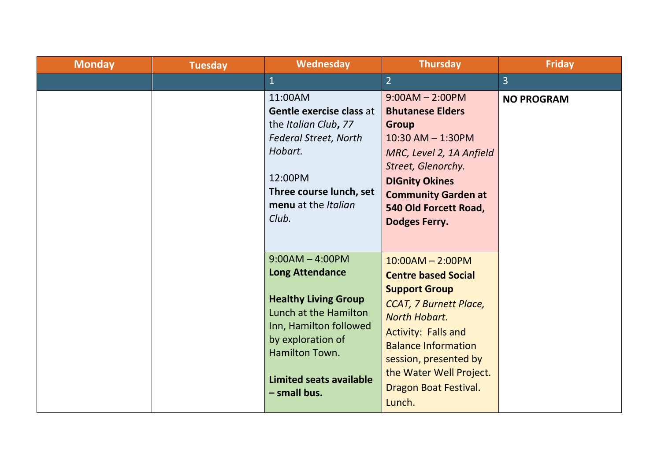| <b>Monday</b> | <b>Tuesday</b> | Wednesday                                                                                                                                                                    | <b>Thursday</b>                                                                                                                                                                                                                           | <b>Friday</b>     |
|---------------|----------------|------------------------------------------------------------------------------------------------------------------------------------------------------------------------------|-------------------------------------------------------------------------------------------------------------------------------------------------------------------------------------------------------------------------------------------|-------------------|
|               |                | $\overline{1}$                                                                                                                                                               | $\overline{2}$                                                                                                                                                                                                                            | $\overline{3}$    |
|               |                | 11:00AM<br>Gentle exercise class at<br>the Italian Club, 77<br><b>Federal Street, North</b><br>Hobart.<br>12:00PM<br>Three course lunch, set<br>menu at the Italian<br>Club. | $9:00AM - 2:00PM$<br><b>Bhutanese Elders</b><br><b>Group</b><br>$10:30$ AM $- 1:30$ PM<br>MRC, Level 2, 1A Anfield<br>Street, Glenorchy.<br><b>DIGnity Okines</b><br><b>Community Garden at</b><br>540 Old Forcett Road,<br>Dodges Ferry. | <b>NO PROGRAM</b> |
|               |                | $9:00AM - 4:00PM$<br><b>Long Attendance</b>                                                                                                                                  | $10:00AM - 2:00PM$<br><b>Centre based Social</b>                                                                                                                                                                                          |                   |
|               |                | <b>Healthy Living Group</b><br>Lunch at the Hamilton<br>Inn, Hamilton followed<br>by exploration of<br>Hamilton Town.<br><b>Limited seats available</b><br>- small bus.      | <b>Support Group</b><br><b>CCAT, 7 Burnett Place,</b><br><b>North Hobart.</b><br><b>Activity: Falls and</b><br><b>Balance Information</b><br>session, presented by<br>the Water Well Project.<br>Dragon Boat Festival.<br>Lunch.          |                   |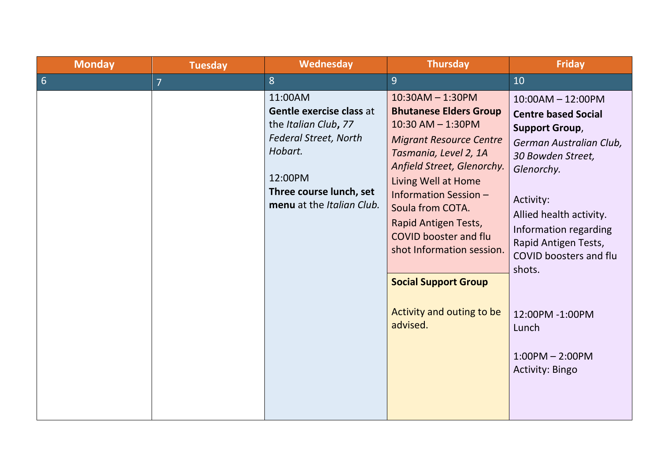| <b>Monday</b>   | <b>Tuesday</b> | <b>Wednesday</b>                                                                                                                                                          | <b>Thursday</b>                                                                                                                                                                                                                                                                                                                                                                                         | <b>Friday</b>                                                                                                                                                                                                                                                                                                                                    |
|-----------------|----------------|---------------------------------------------------------------------------------------------------------------------------------------------------------------------------|---------------------------------------------------------------------------------------------------------------------------------------------------------------------------------------------------------------------------------------------------------------------------------------------------------------------------------------------------------------------------------------------------------|--------------------------------------------------------------------------------------------------------------------------------------------------------------------------------------------------------------------------------------------------------------------------------------------------------------------------------------------------|
| $6\overline{6}$ | $\overline{7}$ | 8                                                                                                                                                                         | $\overline{9}$                                                                                                                                                                                                                                                                                                                                                                                          | 10                                                                                                                                                                                                                                                                                                                                               |
|                 |                | 11:00AM<br>Gentle exercise class at<br>the Italian Club, 77<br><b>Federal Street, North</b><br>Hobart.<br>12:00PM<br>Three course lunch, set<br>menu at the Italian Club. | $10:30AM - 1:30PM$<br><b>Bhutanese Elders Group</b><br>$10:30$ AM $- 1:30$ PM<br><b>Migrant Resource Centre</b><br>Tasmania, Level 2, 1A<br>Anfield Street, Glenorchy.<br>Living Well at Home<br>Information Session -<br>Soula from COTA.<br>Rapid Antigen Tests,<br><b>COVID booster and flu</b><br>shot Information session.<br><b>Social Support Group</b><br>Activity and outing to be<br>advised. | $10:00AM - 12:00PM$<br><b>Centre based Social</b><br><b>Support Group,</b><br>German Australian Club,<br>30 Bowden Street,<br>Glenorchy.<br>Activity:<br>Allied health activity.<br>Information regarding<br>Rapid Antigen Tests,<br>COVID boosters and flu<br>shots.<br>12:00PM -1:00PM<br>Lunch<br>$1:00PM - 2:00PM$<br><b>Activity: Bingo</b> |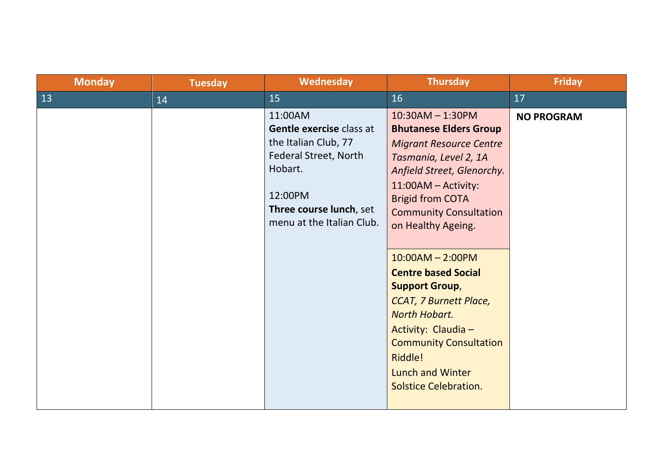| <b>Monday</b> | <b>Tuesday</b> | Wednesday                                                                                                                                                          | <b>Thursday</b>                                                                                                                                                                                                                                                                                                                                                                                                                                                                                                    | <b>Friday</b>     |
|---------------|----------------|--------------------------------------------------------------------------------------------------------------------------------------------------------------------|--------------------------------------------------------------------------------------------------------------------------------------------------------------------------------------------------------------------------------------------------------------------------------------------------------------------------------------------------------------------------------------------------------------------------------------------------------------------------------------------------------------------|-------------------|
| 13            | 14             | 15                                                                                                                                                                 | 16                                                                                                                                                                                                                                                                                                                                                                                                                                                                                                                 | 17                |
|               |                | 11:00AM<br>Gentle exercise class at<br>the Italian Club, 77<br>Federal Street, North<br>Hobart.<br>12:00PM<br>Three course lunch, set<br>menu at the Italian Club. | $10:30AM - 1:30PM$<br><b>Bhutanese Elders Group</b><br><b>Migrant Resource Centre</b><br>Tasmania, Level 2, 1A<br>Anfield Street, Glenorchy.<br>11:00AM - Activity:<br><b>Brigid from COTA</b><br><b>Community Consultation</b><br>on Healthy Ageing.<br>$10:00AM - 2:00PM$<br><b>Centre based Social</b><br><b>Support Group,</b><br><b>CCAT, 7 Burnett Place,</b><br>North Hobart.<br>Activity: Claudia -<br><b>Community Consultation</b><br>Riddle!<br><b>Lunch and Winter</b><br><b>Solstice Celebration.</b> | <b>NO PROGRAM</b> |
|               |                |                                                                                                                                                                    |                                                                                                                                                                                                                                                                                                                                                                                                                                                                                                                    |                   |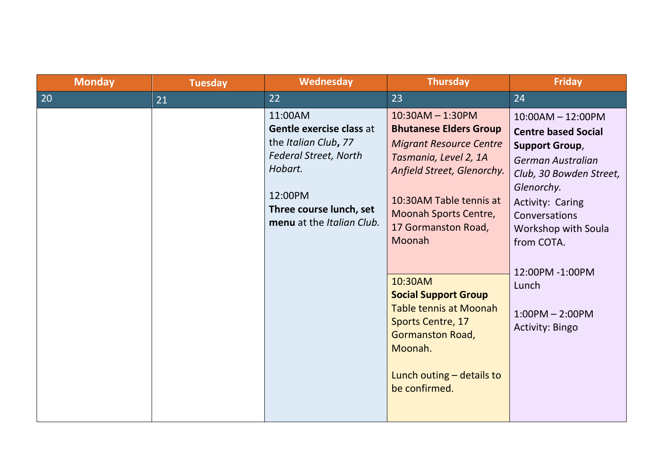| <b>Monday</b> | <b>Tuesday</b> | Wednesday                                                                                                                                                                 | <b>Thursday</b>                                                                                                                                                                                                                                                                                                                                                                                                                | <b>Friday</b>                                                                                                                                                                                                                                                                                 |
|---------------|----------------|---------------------------------------------------------------------------------------------------------------------------------------------------------------------------|--------------------------------------------------------------------------------------------------------------------------------------------------------------------------------------------------------------------------------------------------------------------------------------------------------------------------------------------------------------------------------------------------------------------------------|-----------------------------------------------------------------------------------------------------------------------------------------------------------------------------------------------------------------------------------------------------------------------------------------------|
| 20            | 21             | 22                                                                                                                                                                        | 23                                                                                                                                                                                                                                                                                                                                                                                                                             | 24                                                                                                                                                                                                                                                                                            |
|               |                | 11:00AM<br>Gentle exercise class at<br>the Italian Club, 77<br><b>Federal Street, North</b><br>Hobart.<br>12:00PM<br>Three course lunch, set<br>menu at the Italian Club. | $10:30AM - 1:30PM$<br><b>Bhutanese Elders Group</b><br><b>Migrant Resource Centre</b><br>Tasmania, Level 2, 1A<br>Anfield Street, Glenorchy.<br>10:30AM Table tennis at<br>Moonah Sports Centre,<br>17 Gormanston Road,<br>Moonah<br>10:30AM<br><b>Social Support Group</b><br><b>Table tennis at Moonah</b><br><b>Sports Centre, 17</b><br><b>Gormanston Road,</b><br>Moonah.<br>Lunch outing $-$ details to<br>be confirmed. | $10:00AM - 12:00PM$<br><b>Centre based Social</b><br><b>Support Group,</b><br>German Australian<br>Club, 30 Bowden Street,<br>Glenorchy.<br>Activity: Caring<br>Conversations<br>Workshop with Soula<br>from COTA.<br>12:00PM -1:00PM<br>Lunch<br>$1:00PM - 2:00PM$<br><b>Activity: Bingo</b> |
|               |                |                                                                                                                                                                           |                                                                                                                                                                                                                                                                                                                                                                                                                                |                                                                                                                                                                                                                                                                                               |